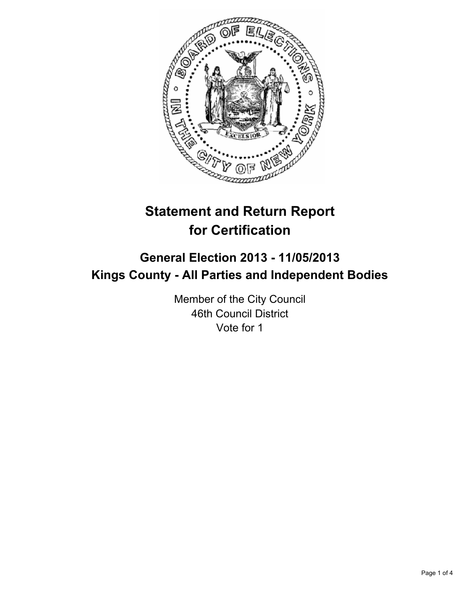

# **Statement and Return Report for Certification**

## **General Election 2013 - 11/05/2013 Kings County - All Parties and Independent Bodies**

Member of the City Council 46th Council District Vote for 1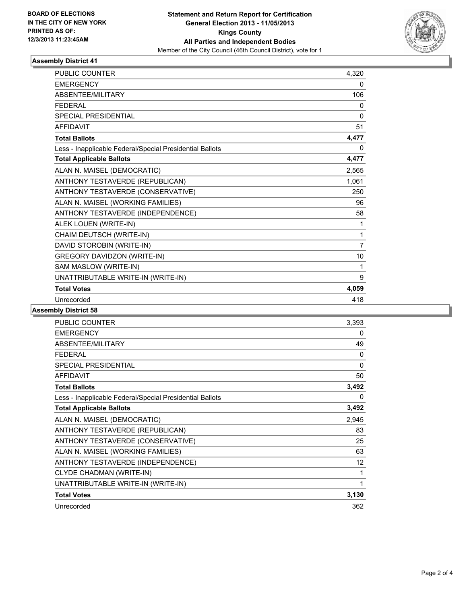

### **Assembly District 41**

| <b>PUBLIC COUNTER</b>                                    | 4,320          |
|----------------------------------------------------------|----------------|
| <b>EMERGENCY</b>                                         | 0              |
| ABSENTEE/MILITARY                                        | 106            |
| <b>FFDFRAL</b>                                           | 0              |
| <b>SPECIAL PRESIDENTIAL</b>                              | $\Omega$       |
| <b>AFFIDAVIT</b>                                         | 51             |
| <b>Total Ballots</b>                                     | 4,477          |
| Less - Inapplicable Federal/Special Presidential Ballots | 0              |
| <b>Total Applicable Ballots</b>                          | 4,477          |
| ALAN N. MAISEL (DEMOCRATIC)                              | 2,565          |
| ANTHONY TESTAVERDE (REPUBLICAN)                          | 1,061          |
| ANTHONY TESTAVERDE (CONSERVATIVE)                        | 250            |
| ALAN N. MAISEL (WORKING FAMILIES)                        | 96             |
| ANTHONY TESTAVERDE (INDEPENDENCE)                        | 58             |
| ALEK LOUEN (WRITE-IN)                                    | 1              |
| CHAIM DEUTSCH (WRITE-IN)                                 | 1              |
| DAVID STOROBIN (WRITE-IN)                                | $\overline{7}$ |
| <b>GREGORY DAVIDZON (WRITE-IN)</b>                       | 10             |
| SAM MASLOW (WRITE-IN)                                    | 1              |
| UNATTRIBUTABLE WRITE-IN (WRITE-IN)                       | 9              |
| <b>Total Votes</b>                                       | 4,059          |
| Unrecorded                                               | 418            |

#### **Assembly District 58**

| <b>PUBLIC COUNTER</b>                                    | 3,393             |
|----------------------------------------------------------|-------------------|
| <b>EMERGENCY</b>                                         | 0                 |
| ABSENTEE/MILITARY                                        | 49                |
| <b>FEDERAL</b>                                           | 0                 |
| SPECIAL PRESIDENTIAL                                     | 0                 |
| <b>AFFIDAVIT</b>                                         | 50                |
| <b>Total Ballots</b>                                     | 3,492             |
| Less - Inapplicable Federal/Special Presidential Ballots | $\mathbf{0}$      |
| <b>Total Applicable Ballots</b>                          | 3,492             |
| ALAN N. MAISEL (DEMOCRATIC)                              | 2,945             |
| ANTHONY TESTAVERDE (REPUBLICAN)                          | 83                |
| ANTHONY TESTAVERDE (CONSERVATIVE)                        | 25                |
| ALAN N. MAISEL (WORKING FAMILIES)                        | 63                |
| ANTHONY TESTAVERDE (INDEPENDENCE)                        | $12 \overline{ }$ |
| CLYDE CHADMAN (WRITE-IN)                                 | 1                 |
| UNATTRIBUTABLE WRITE-IN (WRITE-IN)                       | 1                 |
| <b>Total Votes</b>                                       | 3,130             |
| Unrecorded                                               | 362               |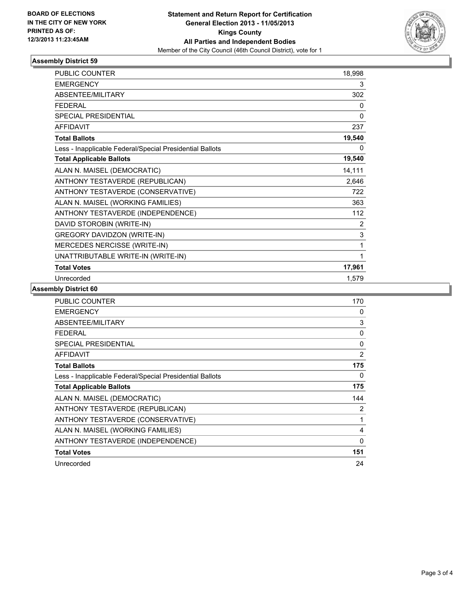

#### **Assembly District 59**

| <b>PUBLIC COUNTER</b>                                    | 18,998       |
|----------------------------------------------------------|--------------|
| <b>EMERGENCY</b>                                         | 3            |
| ABSENTEE/MILITARY                                        | 302          |
| <b>FEDERAL</b>                                           | 0            |
| SPECIAL PRESIDENTIAL                                     | $\mathbf{0}$ |
| <b>AFFIDAVIT</b>                                         | 237          |
| <b>Total Ballots</b>                                     | 19,540       |
| Less - Inapplicable Federal/Special Presidential Ballots | 0            |
| <b>Total Applicable Ballots</b>                          | 19,540       |
| ALAN N. MAISEL (DEMOCRATIC)                              | 14,111       |
| ANTHONY TESTAVERDE (REPUBLICAN)                          | 2,646        |
| ANTHONY TESTAVERDE (CONSERVATIVE)                        | 722          |
| ALAN N. MAISEL (WORKING FAMILIES)                        | 363          |
| ANTHONY TESTAVERDE (INDEPENDENCE)                        | 112          |
| DAVID STOROBIN (WRITE-IN)                                | 2            |
| GREGORY DAVIDZON (WRITE-IN)                              | 3            |
| MERCEDES NERCISSE (WRITE-IN)                             | 1            |
| UNATTRIBUTABLE WRITE-IN (WRITE-IN)                       | 1            |
| <b>Total Votes</b>                                       | 17,961       |
| Unrecorded                                               | 1,579        |

**Assembly District 60**

| <b>PUBLIC COUNTER</b>                                    | 170         |
|----------------------------------------------------------|-------------|
| <b>EMERGENCY</b>                                         | 0           |
| <b>ABSENTEE/MILITARY</b>                                 | 3           |
| <b>FEDERAL</b>                                           | 0           |
| <b>SPECIAL PRESIDENTIAL</b>                              | $\Omega$    |
| <b>AFFIDAVIT</b>                                         | 2           |
| <b>Total Ballots</b>                                     | 175         |
| Less - Inapplicable Federal/Special Presidential Ballots | 0           |
| <b>Total Applicable Ballots</b>                          | 175         |
| ALAN N. MAISEL (DEMOCRATIC)                              | 144         |
| ANTHONY TESTAVERDE (REPUBLICAN)                          | 2           |
| ANTHONY TESTAVERDE (CONSERVATIVE)                        |             |
| ALAN N. MAISEL (WORKING FAMILIES)                        | 4           |
| ANTHONY TESTAVERDE (INDEPENDENCE)                        | $\mathbf 0$ |
| <b>Total Votes</b>                                       | 151         |
| Unrecorded                                               | 24          |